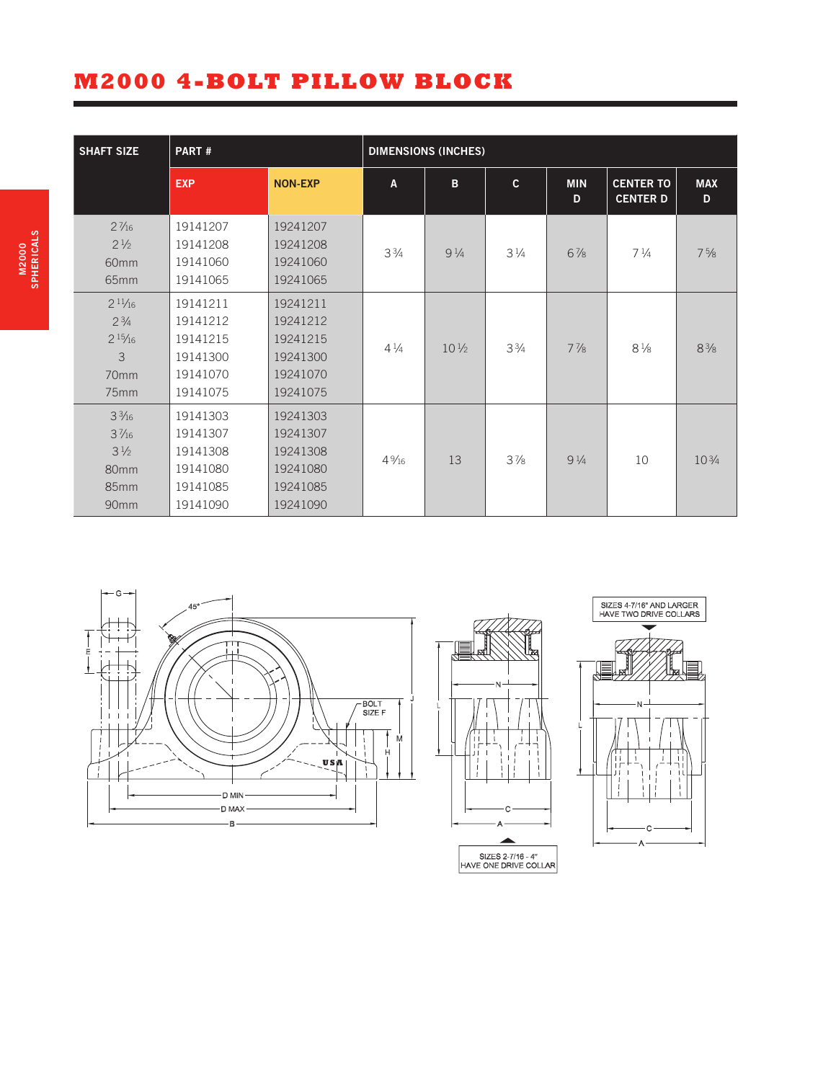## **M2000 4-BOLT PILLOW BLOCK**

| <b>SHAFT SIZE</b>                                                                        | PART#                                                                |                                                                      | <b>DIMENSIONS (INCHES)</b> |                 |                |                 |                                     |                 |  |
|------------------------------------------------------------------------------------------|----------------------------------------------------------------------|----------------------------------------------------------------------|----------------------------|-----------------|----------------|-----------------|-------------------------------------|-----------------|--|
|                                                                                          | <b>EXP</b>                                                           | <b>NON-EXP</b>                                                       | A                          | B               | $\mathbf{c}$   | <b>MIN</b><br>D | <b>CENTER TO</b><br><b>CENTER D</b> | <b>MAX</b><br>D |  |
| $2\frac{7}{16}$<br>$2\frac{1}{2}$<br>60 <sub>mm</sub><br>65mm                            | 19141207<br>19141208<br>19141060<br>19141065                         | 19241207<br>19241208<br>19241060<br>19241065                         | $3\frac{3}{4}$             | $9\frac{1}{4}$  | $3\frac{1}{4}$ | $6\frac{7}{8}$  | $7\frac{1}{4}$                      | $7\frac{5}{8}$  |  |
| $2^{11/16}$<br>$2^{3/4}$<br>$2^{15}/_{16}$<br>3<br>70mm<br>75 <sub>mm</sub>              | 19141211<br>19141212<br>19141215<br>19141300<br>19141070<br>19141075 | 19241211<br>19241212<br>19241215<br>19241300<br>19241070<br>19241075 | $4\frac{1}{4}$             | $10\frac{1}{2}$ | $3\frac{3}{4}$ | $7\frac{7}{8}$  | $8\frac{1}{8}$                      | $8\frac{3}{8}$  |  |
| $3\frac{3}{16}$<br>$3\frac{7}{16}$<br>$3\frac{1}{2}$<br>80 <sub>mm</sub><br>85mm<br>90mm | 19141303<br>19141307<br>19141308<br>19141080<br>19141085<br>19141090 | 19241303<br>19241307<br>19241308<br>19241080<br>19241085<br>19241090 | $4\frac{9}{16}$            | 13              | $3\frac{7}{8}$ | $9\frac{1}{4}$  | 10                                  | $10\frac{3}{4}$ |  |



SIZES 2-7/16 - 4"<br>HAVE ONE DRIVE COLLAR

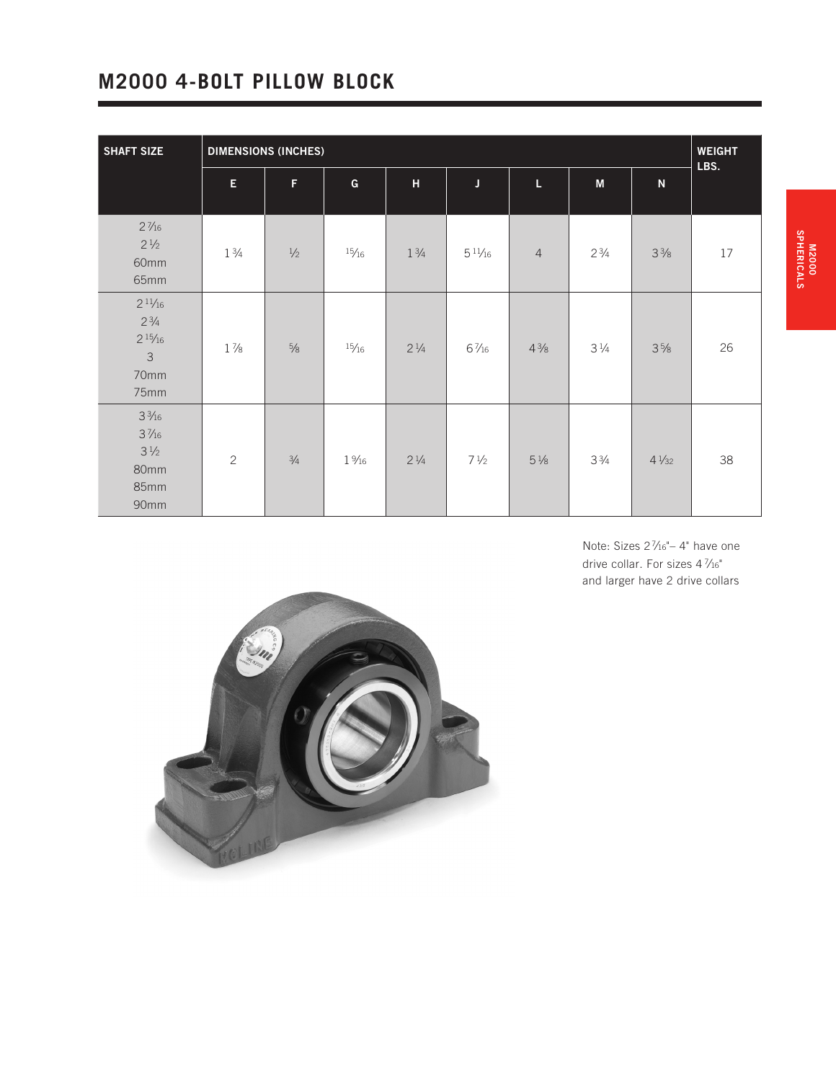## **M2000 4-BOLT PILLOW BLOCK**

| <b>SHAFT SIZE</b>                                                            | <b>DIMENSIONS (INCHES)</b>                                                     |               |                 |                |                 |                |                |                 | <b>WEIGHT</b><br>LBS. |
|------------------------------------------------------------------------------|--------------------------------------------------------------------------------|---------------|-----------------|----------------|-----------------|----------------|----------------|-----------------|-----------------------|
|                                                                              | $\mathsf{E}% _{0}\left( t\right) \equiv\mathsf{E}_{\mathrm{H}}\left( t\right)$ | $\mathsf F$   | G               | $\mathbf H$    | $\mathbf{J}$    | L              | ${\sf M}$      | ${\bf N}$       |                       |
| $2\frac{7}{16}$<br>$2\frac{1}{2}$<br>60mm<br>65mm                            | $1\frac{3}{4}$                                                                 | $1/2$         | 15/16           | $1\frac{3}{4}$ | $5^{11/16}$     | $\overline{4}$ | $2\frac{3}{4}$ | $3\frac{3}{8}$  | $17\,$                |
| $2^{11/16}$<br>$2\frac{3}{4}$<br>$2^{15}/16$<br>$\mathsf 3$<br>70mm<br>75mm  | $1\frac{7}{8}$                                                                 | $5\!\%$       | 15/16           | $2\frac{1}{4}$ | $6\frac{7}{16}$ | $4\frac{3}{8}$ | $3\frac{1}{4}$ | $3\frac{5}{8}$  | 26                    |
| $3\frac{3}{16}$<br>$3\frac{7}{16}$<br>$3\frac{1}{2}$<br>80mm<br>85mm<br>90mm | $\overline{c}$                                                                 | $\frac{3}{4}$ | $1\frac{9}{16}$ | $2\frac{1}{4}$ | $7\frac{1}{2}$  | $5\frac{1}{8}$ | $3\frac{3}{4}$ | $4\frac{1}{32}$ | 38                    |

Note: Sizes 2 7 ⁄16"– 4" have one drive collar. For sizes 4 7 ⁄16" and larger have 2 drive collars

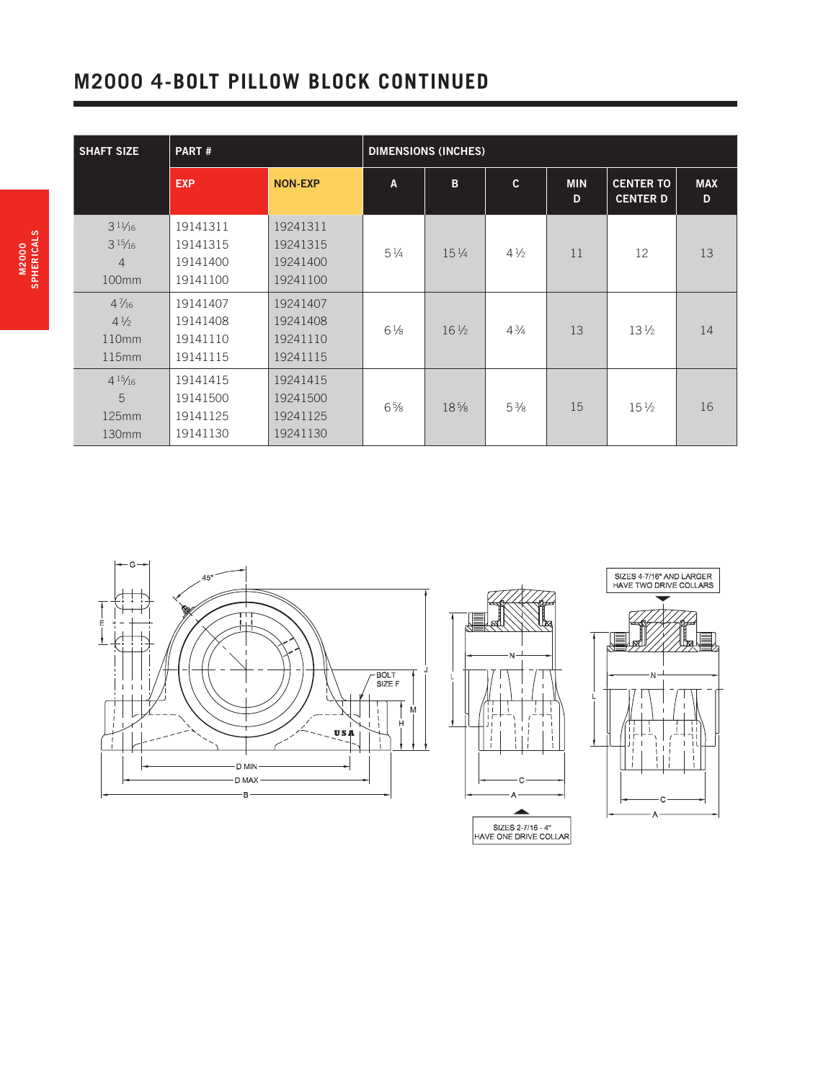## **M2000 4-BOLT PILLOW BLOCK CONTINUED**

| <b>SHAFT SIZE</b>                                        | PART#                                        |                                              | <b>DIMENSIONS (INCHES)</b> |                 |                |                 |                                     |                 |  |
|----------------------------------------------------------|----------------------------------------------|----------------------------------------------|----------------------------|-----------------|----------------|-----------------|-------------------------------------|-----------------|--|
|                                                          | <b>EXP</b>                                   | <b>NON-EXP</b>                               | A                          | B               | $\mathbf{c}$   | <b>MIN</b><br>D | <b>CENTER TO</b><br><b>CENTER D</b> | <b>MAX</b><br>D |  |
| $3^{11/16}$<br>$3^{15}/_{16}$<br>$\overline{4}$<br>100mm | 19141311<br>19141315<br>19141400<br>19141100 | 19241311<br>19241315<br>19241400<br>19241100 | $5\frac{1}{4}$             | $15\frac{1}{4}$ | $4\frac{1}{2}$ | 11              | 12                                  | 13              |  |
| $4\frac{7}{16}$<br>$4\frac{1}{2}$<br>110mm<br>115mm      | 19141407<br>19141408<br>19141110<br>19141115 | 19241407<br>19241408<br>19241110<br>19241115 | $6\frac{1}{8}$             | $16\frac{1}{2}$ | $4\frac{3}{4}$ | 13              | $13\frac{1}{2}$                     | 14              |  |
| $4^{15}/_{16}$<br>5<br>125mm<br>130mm                    | 19141415<br>19141500<br>19141125<br>19141130 | 19241415<br>19241500<br>19241125<br>19241130 | $6\frac{5}{8}$             | 18%             | $5\frac{3}{8}$ | 15              | $15\frac{1}{2}$                     | 16              |  |



SIZES 2-7/16 - 4"<br>HAVE ONE DRIVE COLLAR